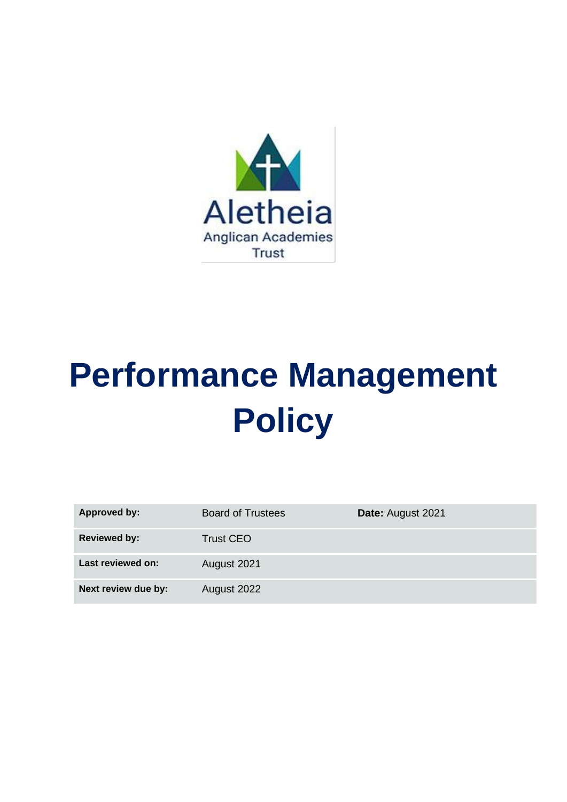

# **Performance Management Policy**

| <b>Approved by:</b> | <b>Board of Trustees</b> | Date: August 2021 |
|---------------------|--------------------------|-------------------|
| <b>Reviewed by:</b> | <b>Trust CEO</b>         |                   |
| Last reviewed on:   | August 2021              |                   |
| Next review due by: | August 2022              |                   |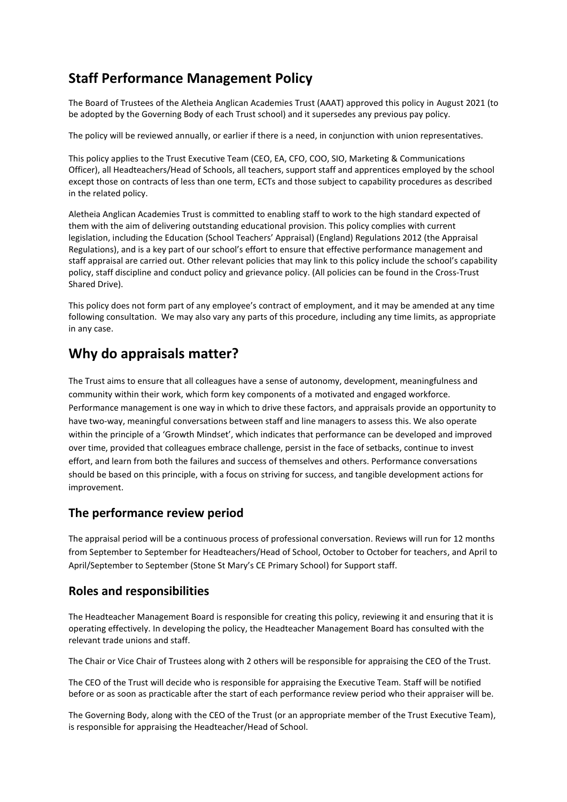# **Staff Performance Management Policy**

The Board of Trustees of the Aletheia Anglican Academies Trust (AAAT) approved this policy in August 2021 (to be adopted by the Governing Body of each Trust school) and it supersedes any previous pay policy.

The policy will be reviewed annually, or earlier if there is a need, in conjunction with union representatives.

This policy applies to the Trust Executive Team (CEO, EA, CFO, COO, SIO, Marketing & Communications Officer), all Headteachers/Head of Schools, all teachers, support staff and apprentices employed by the school except those on contracts of less than one term, ECTs and those subject to capability procedures as described in the related policy.

Aletheia Anglican Academies Trust is committed to enabling staff to work to the high standard expected of them with the aim of delivering outstanding educational provision. This policy complies with current legislation, including the Education (School Teachers' Appraisal) (England) Regulations 2012 (the Appraisal Regulations), and is a key part of our school's effort to ensure that effective performance management and staff appraisal are carried out. Other relevant policies that may link to this policy include the school's capability policy, staff discipline and conduct policy and grievance policy. (All policies can be found in the Cross-Trust Shared Drive).

This policy does not form part of any employee's contract of employment, and it may be amended at any time following consultation. We may also vary any parts of this procedure, including any time limits, as appropriate in any case.

# **Why do appraisals matter?**

The Trust aims to ensure that all colleagues have a sense of autonomy, development, meaningfulness and community within their work, which form key components of a motivated and engaged workforce. Performance management is one way in which to drive these factors, and appraisals provide an opportunity to have two-way, meaningful conversations between staff and line managers to assess this. We also operate within the principle of a 'Growth Mindset', which indicates that performance can be developed and improved over time, provided that colleagues embrace challenge, persist in the face of setbacks, continue to invest effort, and learn from both the failures and success of themselves and others. Performance conversations should be based on this principle, with a focus on striving for success, and tangible development actions for improvement.

### **The performance review period**

The appraisal period will be a continuous process of professional conversation. Reviews will run for 12 months from September to September for Headteachers/Head of School, October to October for teachers, and April to April/September to September (Stone St Mary's CE Primary School) for Support staff.

## **Roles and responsibilities**

The Headteacher Management Board is responsible for creating this policy, reviewing it and ensuring that it is operating effectively. In developing the policy, the Headteacher Management Board has consulted with the relevant trade unions and staff.

The Chair or Vice Chair of Trustees along with 2 others will be responsible for appraising the CEO of the Trust.

The CEO of the Trust will decide who is responsible for appraising the Executive Team. Staff will be notified before or as soon as practicable after the start of each performance review period who their appraiser will be.

The Governing Body, along with the CEO of the Trust (or an appropriate member of the Trust Executive Team), is responsible for appraising the Headteacher/Head of School.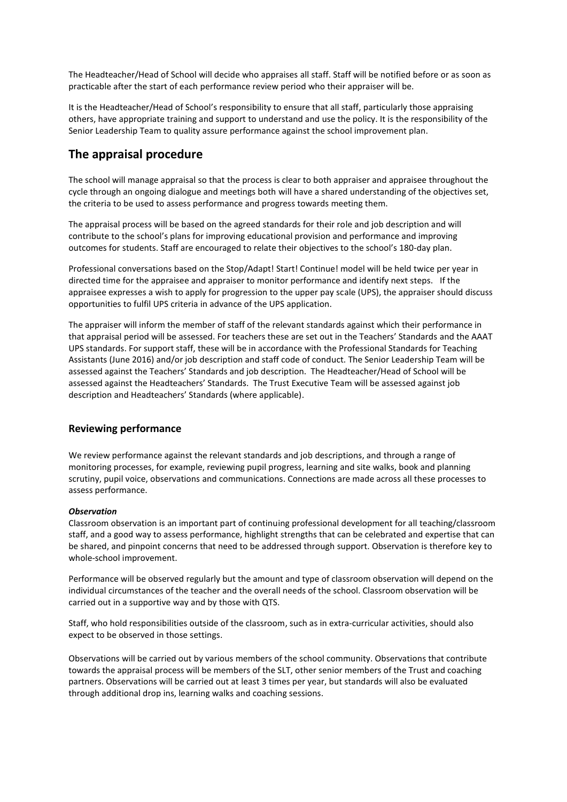The Headteacher/Head of School will decide who appraises all staff. Staff will be notified before or as soon as practicable after the start of each performance review period who their appraiser will be.

It is the Headteacher/Head of School's responsibility to ensure that all staff, particularly those appraising others, have appropriate training and support to understand and use the policy. It is the responsibility of the Senior Leadership Team to quality assure performance against the school improvement plan.

## **The appraisal procedure**

The school will manage appraisal so that the process is clear to both appraiser and appraisee throughout the cycle through an ongoing dialogue and meetings both will have a shared understanding of the objectives set, the criteria to be used to assess performance and progress towards meeting them.

The appraisal process will be based on the agreed standards for their role and job description and will contribute to the school's plans for improving educational provision and performance and improving outcomes for students. Staff are encouraged to relate their objectives to the school's 180-day plan.

Professional conversations based on the Stop/Adapt! Start! Continue! model will be held twice per year in directed time for the appraisee and appraiser to monitor performance and identify next steps. If the appraisee expresses a wish to apply for progression to the upper pay scale (UPS), the appraiser should discuss opportunities to fulfil UPS criteria in advance of the UPS application.

The appraiser will inform the member of staff of the relevant standards against which their performance in that appraisal period will be assessed. For teachers these are set out in the Teachers' Standards and the AAAT UPS standards. For support staff, these will be in accordance with the Professional Standards for Teaching Assistants (June 2016) and/or job description and staff code of conduct. The Senior Leadership Team will be assessed against the Teachers' Standards and job description. The Headteacher/Head of School will be assessed against the Headteachers' Standards. The Trust Executive Team will be assessed against job description and Headteachers' Standards (where applicable).

#### **Reviewing performance**

We review performance against the relevant standards and job descriptions, and through a range of monitoring processes, for example, reviewing pupil progress, learning and site walks, book and planning scrutiny, pupil voice, observations and communications. Connections are made across all these processes to assess performance.

#### *Observation*

Classroom observation is an important part of continuing professional development for all teaching/classroom staff, and a good way to assess performance, highlight strengths that can be celebrated and expertise that can be shared, and pinpoint concerns that need to be addressed through support. Observation is therefore key to whole-school improvement.

Performance will be observed regularly but the amount and type of classroom observation will depend on the individual circumstances of the teacher and the overall needs of the school. Classroom observation will be carried out in a supportive way and by those with QTS.

Staff, who hold responsibilities outside of the classroom, such as in extra-curricular activities, should also expect to be observed in those settings.

Observations will be carried out by various members of the school community. Observations that contribute towards the appraisal process will be members of the SLT, other senior members of the Trust and coaching partners. Observations will be carried out at least 3 times per year, but standards will also be evaluated through additional drop ins, learning walks and coaching sessions.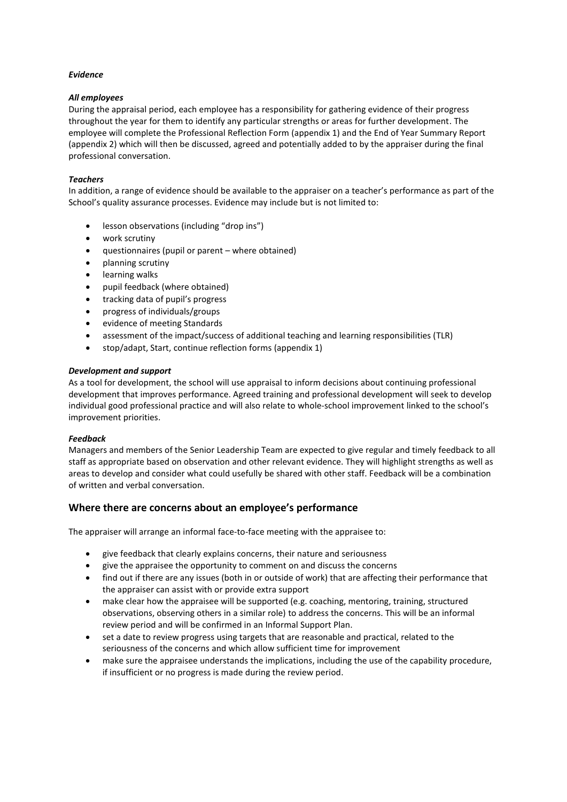#### *Evidence*

#### *All employees*

During the appraisal period, each employee has a responsibility for gathering evidence of their progress throughout the year for them to identify any particular strengths or areas for further development. The employee will complete the Professional Reflection Form (appendix 1) and the End of Year Summary Report (appendix 2) which will then be discussed, agreed and potentially added to by the appraiser during the final professional conversation.

#### *Teachers*

In addition, a range of evidence should be available to the appraiser on a teacher's performance as part of the School's quality assurance processes. Evidence may include but is not limited to:

- lesson observations (including "drop ins")
- work scrutiny
- questionnaires (pupil or parent where obtained)
- planning scrutiny
- learning walks
- pupil feedback (where obtained)
- tracking data of pupil's progress
- progress of individuals/groups
- evidence of meeting Standards
- assessment of the impact/success of additional teaching and learning responsibilities (TLR)
- stop/adapt, Start, continue reflection forms (appendix 1)

#### *Development and support*

As a tool for development, the school will use appraisal to inform decisions about continuing professional development that improves performance. Agreed training and professional development will seek to develop individual good professional practice and will also relate to whole-school improvement linked to the school's improvement priorities.

#### *Feedback*

Managers and members of the Senior Leadership Team are expected to give regular and timely feedback to all staff as appropriate based on observation and other relevant evidence. They will highlight strengths as well as areas to develop and consider what could usefully be shared with other staff. Feedback will be a combination of written and verbal conversation.

#### **Where there are concerns about an employee's performance**

The appraiser will arrange an informal face-to-face meeting with the appraisee to:

- give feedback that clearly explains concerns, their nature and seriousness
- give the appraisee the opportunity to comment on and discuss the concerns
- find out if there are any issues (both in or outside of work) that are affecting their performance that the appraiser can assist with or provide extra support
- make clear how the appraisee will be supported (e.g. coaching, mentoring, training, structured observations, observing others in a similar role) to address the concerns. This will be an informal review period and will be confirmed in an Informal Support Plan.
- set a date to review progress using targets that are reasonable and practical, related to the seriousness of the concerns and which allow sufficient time for improvement
- make sure the appraisee understands the implications, including the use of the capability procedure, if insufficient or no progress is made during the review period.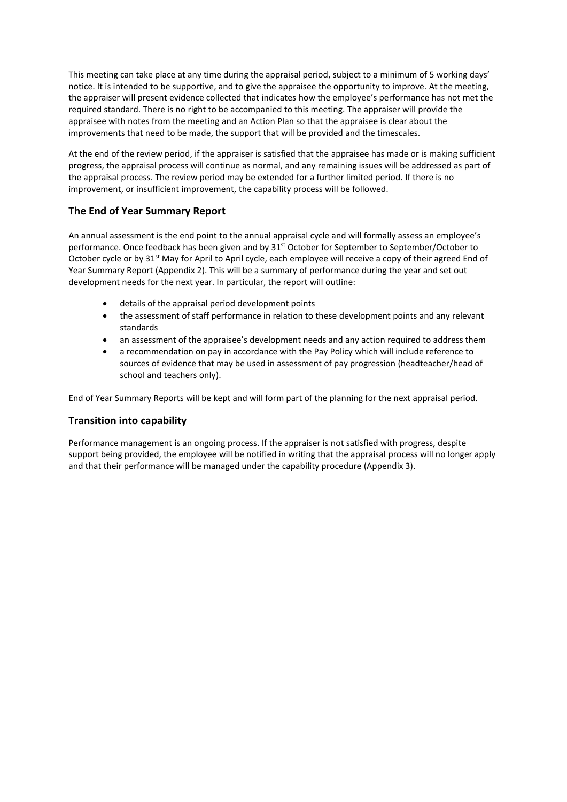This meeting can take place at any time during the appraisal period, subject to a minimum of 5 working days' notice. It is intended to be supportive, and to give the appraisee the opportunity to improve. At the meeting, the appraiser will present evidence collected that indicates how the employee's performance has not met the required standard. There is no right to be accompanied to this meeting. The appraiser will provide the appraisee with notes from the meeting and an Action Plan so that the appraisee is clear about the improvements that need to be made, the support that will be provided and the timescales.

At the end of the review period, if the appraiser is satisfied that the appraisee has made or is making sufficient progress, the appraisal process will continue as normal, and any remaining issues will be addressed as part of the appraisal process. The review period may be extended for a further limited period. If there is no improvement, or insufficient improvement, the capability process will be followed.

#### **The End of Year Summary Report**

An annual assessment is the end point to the annual appraisal cycle and will formally assess an employee's performance. Once feedback has been given and by 31<sup>st</sup> October for September to September/October to October cycle or by 31<sup>st</sup> May for April to April cycle, each employee will receive a copy of their agreed End of Year Summary Report (Appendix 2). This will be a summary of performance during the year and set out development needs for the next year. In particular, the report will outline:

- details of the appraisal period development points
- the assessment of staff performance in relation to these development points and any relevant standards
- an assessment of the appraisee's development needs and any action required to address them
- a recommendation on pay in accordance with the Pay Policy which will include reference to sources of evidence that may be used in assessment of pay progression (headteacher/head of school and teachers only).

End of Year Summary Reports will be kept and will form part of the planning for the next appraisal period.

#### **Transition into capability**

Performance management is an ongoing process. If the appraiser is not satisfied with progress, despite support being provided, the employee will be notified in writing that the appraisal process will no longer apply and that their performance will be managed under the capability procedure (Appendix 3).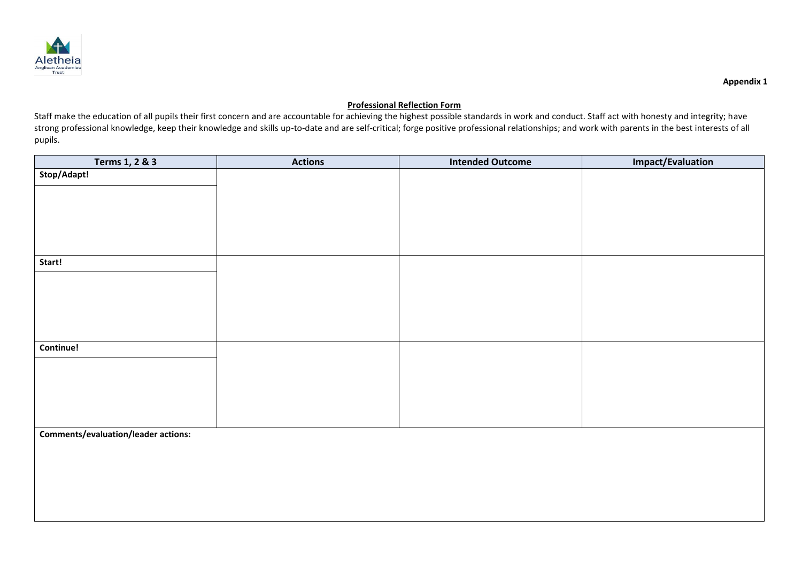

#### **Professional Reflection Form**

Staff make the education of all pupils their first concern and are accountable for achieving the highest possible standards in work and conduct. Staff act with honesty and integrity; have strong professional knowledge, keep their knowledge and skills up-to-date and are self-critical; forge positive professional relationships; and work with parents in the best interests of all pupils.

| Terms 1, 2 & 3                             | <b>Actions</b> | <b>Intended Outcome</b> | <b>Impact/Evaluation</b> |
|--------------------------------------------|----------------|-------------------------|--------------------------|
| Stop/Adapt!                                |                |                         |                          |
|                                            |                |                         |                          |
|                                            |                |                         |                          |
|                                            |                |                         |                          |
|                                            |                |                         |                          |
|                                            |                |                         |                          |
| Start!                                     |                |                         |                          |
|                                            |                |                         |                          |
|                                            |                |                         |                          |
|                                            |                |                         |                          |
|                                            |                |                         |                          |
|                                            |                |                         |                          |
| Continue!                                  |                |                         |                          |
|                                            |                |                         |                          |
|                                            |                |                         |                          |
|                                            |                |                         |                          |
|                                            |                |                         |                          |
|                                            |                |                         |                          |
| <b>Comments/evaluation/leader actions:</b> |                |                         |                          |
|                                            |                |                         |                          |
|                                            |                |                         |                          |
|                                            |                |                         |                          |
|                                            |                |                         |                          |
|                                            |                |                         |                          |
|                                            |                |                         |                          |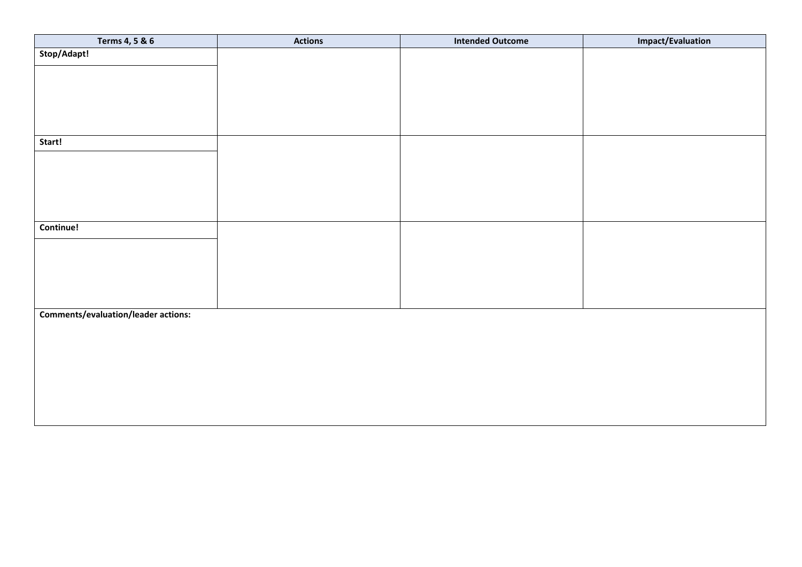| Terms 4, 5 & 6                             | <b>Actions</b> | <b>Intended Outcome</b> | <b>Impact/Evaluation</b> |
|--------------------------------------------|----------------|-------------------------|--------------------------|
| Stop/Adapt!                                |                |                         |                          |
|                                            |                |                         |                          |
|                                            |                |                         |                          |
|                                            |                |                         |                          |
|                                            |                |                         |                          |
|                                            |                |                         |                          |
| Start!                                     |                |                         |                          |
|                                            |                |                         |                          |
|                                            |                |                         |                          |
|                                            |                |                         |                          |
|                                            |                |                         |                          |
|                                            |                |                         |                          |
| Continue!                                  |                |                         |                          |
|                                            |                |                         |                          |
|                                            |                |                         |                          |
|                                            |                |                         |                          |
|                                            |                |                         |                          |
|                                            |                |                         |                          |
| <b>Comments/evaluation/leader actions:</b> |                |                         |                          |
|                                            |                |                         |                          |
|                                            |                |                         |                          |
|                                            |                |                         |                          |
|                                            |                |                         |                          |
|                                            |                |                         |                          |
|                                            |                |                         |                          |
|                                            |                |                         |                          |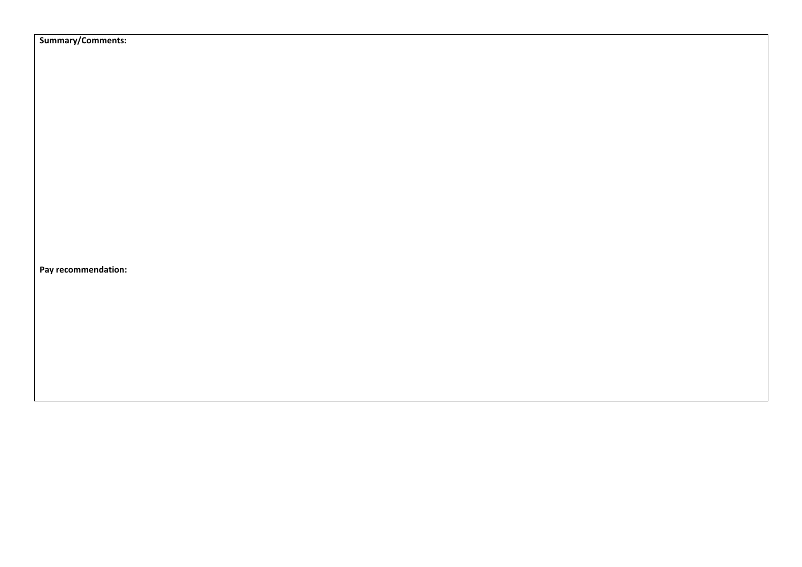**Summary/Comments:**

**Pay recommendation:**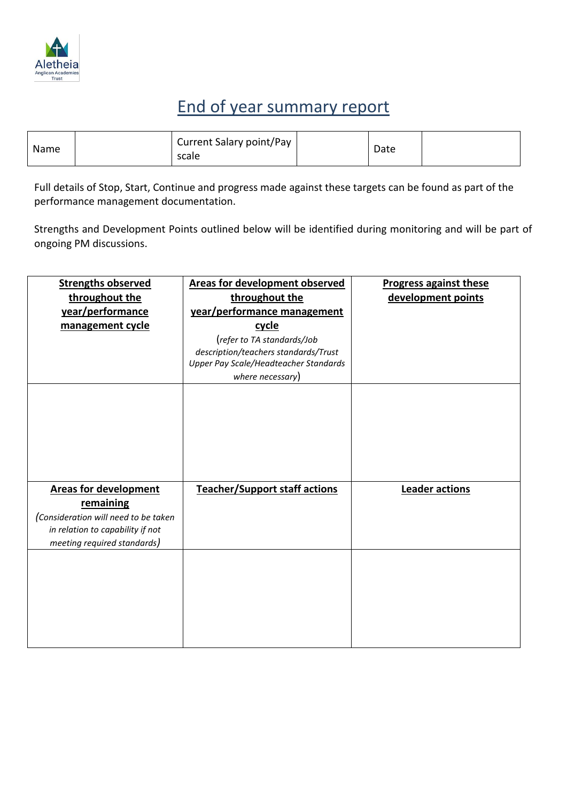

# End of year summary report

| Name |  | Current Salary point/Pay<br>scale |  | Date |  |
|------|--|-----------------------------------|--|------|--|
|------|--|-----------------------------------|--|------|--|

Full details of Stop, Start, Continue and progress made against these targets can be found as part of the performance management documentation.

Strengths and Development Points outlined below will be identified during monitoring and will be part of ongoing PM discussions.

| <b>Strengths observed</b>            | <b>Areas for development observed</b> | <b>Progress against these</b> |
|--------------------------------------|---------------------------------------|-------------------------------|
| throughout the                       | throughout the                        | development points            |
| year/performance                     | year/performance management           |                               |
| management cycle                     | cycle                                 |                               |
|                                      | (refer to TA standards/Job            |                               |
|                                      | description/teachers standards/Trust  |                               |
|                                      | Upper Pay Scale/Headteacher Standards |                               |
|                                      | where necessary)                      |                               |
|                                      |                                       |                               |
|                                      |                                       |                               |
|                                      |                                       |                               |
|                                      |                                       |                               |
|                                      |                                       |                               |
|                                      |                                       |                               |
|                                      |                                       |                               |
| <b>Areas for development</b>         | <b>Teacher/Support staff actions</b>  | Leader actions                |
| remaining                            |                                       |                               |
| (Consideration will need to be taken |                                       |                               |
| in relation to capability if not     |                                       |                               |
| meeting required standards)          |                                       |                               |
|                                      |                                       |                               |
|                                      |                                       |                               |
|                                      |                                       |                               |
|                                      |                                       |                               |
|                                      |                                       |                               |
|                                      |                                       |                               |
|                                      |                                       |                               |
|                                      |                                       |                               |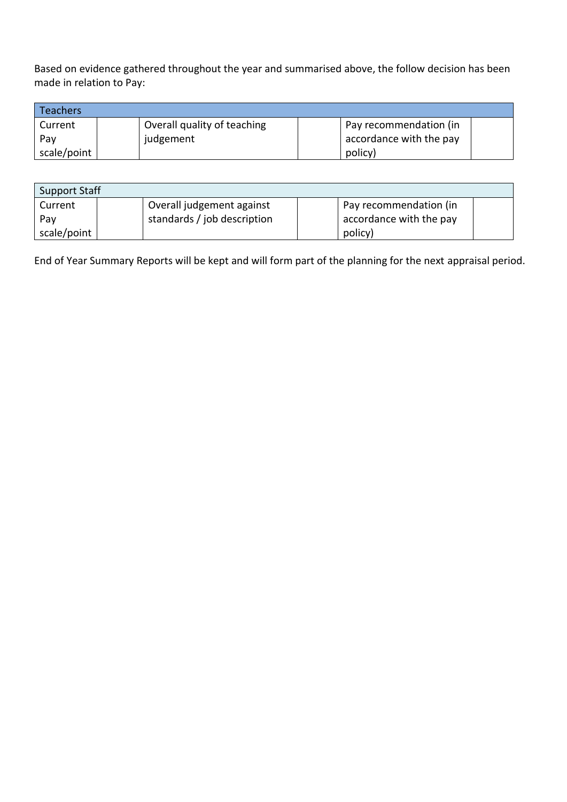Based on evidence gathered throughout the year and summarised above, the follow decision has been made in relation to Pay:

| <b>Teachers</b> |                             |                         |  |
|-----------------|-----------------------------|-------------------------|--|
| Current         | Overall quality of teaching | Pay recommendation (in  |  |
| Pav             | judgement                   | accordance with the pay |  |
| scale/point     |                             | policy)                 |  |

| <b>Support Staff</b> |                             |                         |
|----------------------|-----------------------------|-------------------------|
| Current              | Overall judgement against   | Pay recommendation (in  |
| Pay                  | standards / job description | accordance with the pay |
| scale/point          |                             | policy)                 |

End of Year Summary Reports will be kept and will form part of the planning for the next appraisal period.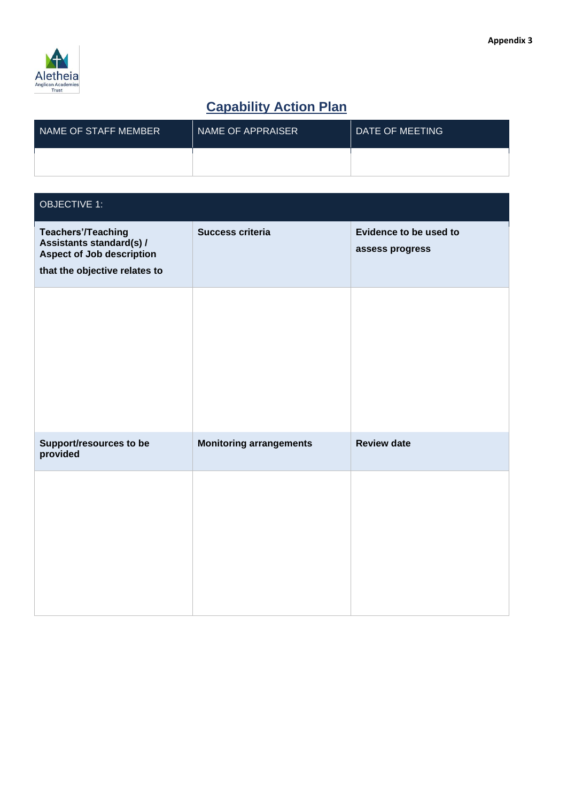

# **Capability Action Plan**

| NAME OF STAFF MEMBER | NAME OF APPRAISER | DATE OF MEETING |
|----------------------|-------------------|-----------------|
|                      |                   |                 |

| <b>OBJECTIVE 1:</b>                                                                                                        |                                |                                           |
|----------------------------------------------------------------------------------------------------------------------------|--------------------------------|-------------------------------------------|
| <b>Teachers'/Teaching</b><br>Assistants standard(s) /<br><b>Aspect of Job description</b><br>that the objective relates to | Success criteria               | Evidence to be used to<br>assess progress |
|                                                                                                                            |                                |                                           |
| Support/resources to be<br>provided                                                                                        | <b>Monitoring arrangements</b> | <b>Review date</b>                        |
|                                                                                                                            |                                |                                           |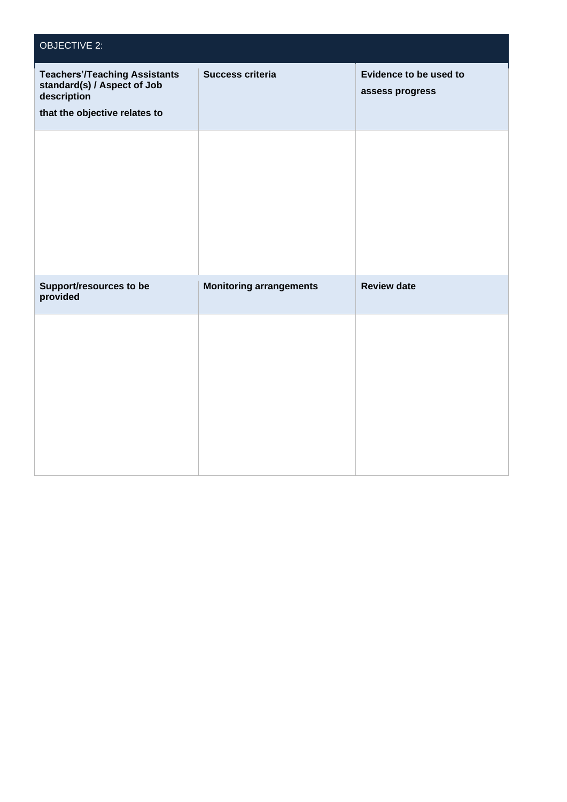| <b>OBJECTIVE 2:</b>                                                                                                 |                                |                                           |
|---------------------------------------------------------------------------------------------------------------------|--------------------------------|-------------------------------------------|
| <b>Teachers'/Teaching Assistants</b><br>standard(s) / Aspect of Job<br>description<br>that the objective relates to | Success criteria               | Evidence to be used to<br>assess progress |
|                                                                                                                     |                                |                                           |
| Support/resources to be<br>provided                                                                                 | <b>Monitoring arrangements</b> | <b>Review date</b>                        |
|                                                                                                                     |                                |                                           |